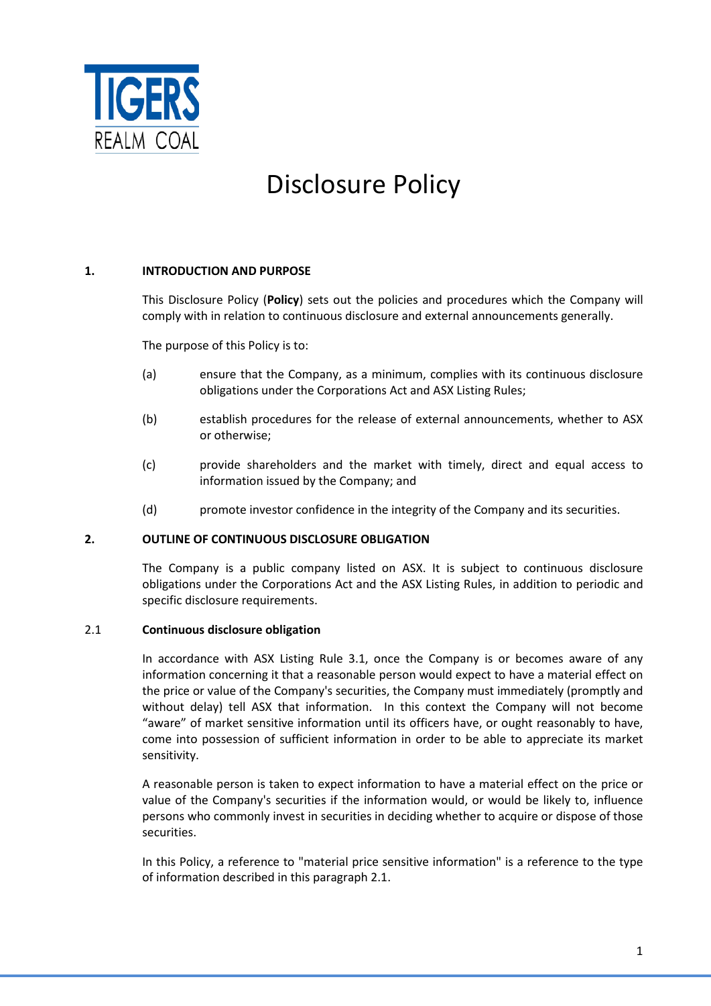

# Disclosure Policy

## **1. INTRODUCTION AND PURPOSE**

This Disclosure Policy (**Policy**) sets out the policies and procedures which the Company will comply with in relation to continuous disclosure and external announcements generally.

The purpose of this Policy is to:

- (a) ensure that the Company, as a minimum, complies with its continuous disclosure obligations under the Corporations Act and ASX Listing Rules;
- (b) establish procedures for the release of external announcements, whether to ASX or otherwise;
- (c) provide shareholders and the market with timely, direct and equal access to information issued by the Company; and
- (d) promote investor confidence in the integrity of the Company and its securities.

## **2. OUTLINE OF CONTINUOUS DISCLOSURE OBLIGATION**

The Company is a public company listed on ASX. It is subject to continuous disclosure obligations under the Corporations Act and the ASX Listing Rules, in addition to periodic and specific disclosure requirements.

## 2.1 **Continuous disclosure obligation**

In accordance with ASX Listing Rule 3.1, once the Company is or becomes aware of any information concerning it that a reasonable person would expect to have a material effect on the price or value of the Company's securities, the Company must immediately (promptly and without delay) tell ASX that information. In this context the Company will not become "aware" of market sensitive information until its officers have, or ought reasonably to have, come into possession of sufficient information in order to be able to appreciate its market sensitivity.

A reasonable person is taken to expect information to have a material effect on the price or value of the Company's securities if the information would, or would be likely to, influence persons who commonly invest in securities in deciding whether to acquire or dispose of those securities.

In this Policy, a reference to "material price sensitive information" is a reference to the type of information described in this paragraph 2.1.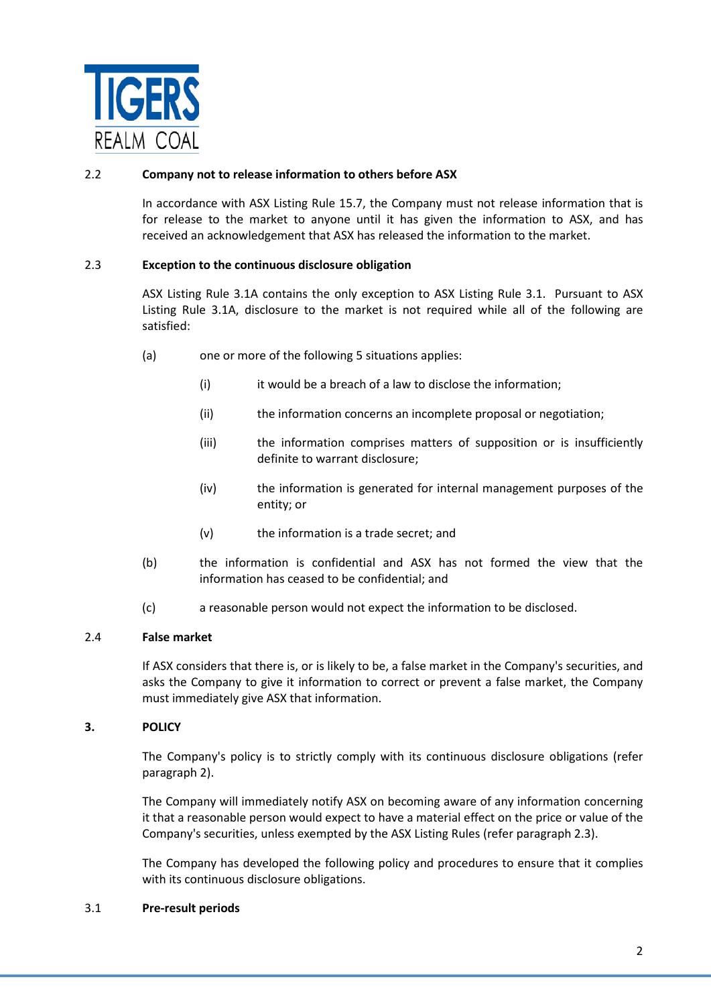

## 2.2 **Company not to release information to others before ASX**

In accordance with ASX Listing Rule 15.7, the Company must not release information that is for release to the market to anyone until it has given the information to ASX, and has received an acknowledgement that ASX has released the information to the market.

## 2.3 **Exception to the continuous disclosure obligation**

ASX Listing Rule 3.1A contains the only exception to ASX Listing Rule 3.1. Pursuant to ASX Listing Rule 3.1A, disclosure to the market is not required while all of the following are satisfied:

- (a) one or more of the following 5 situations applies:
	- (i) it would be a breach of a law to disclose the information;
	- (ii) the information concerns an incomplete proposal or negotiation;
	- (iii) the information comprises matters of supposition or is insufficiently definite to warrant disclosure;
	- (iv) the information is generated for internal management purposes of the entity; or
	- (v) the information is a trade secret; and
- (b) the information is confidential and ASX has not formed the view that the information has ceased to be confidential; and
- (c) a reasonable person would not expect the information to be disclosed.

# 2.4 **False market**

If ASX considers that there is, or is likely to be, a false market in the Company's securities, and asks the Company to give it information to correct or prevent a false market, the Company must immediately give ASX that information.

## **3. POLICY**

The Company's policy is to strictly comply with its continuous disclosure obligations (refer paragraph 2).

The Company will immediately notify ASX on becoming aware of any information concerning it that a reasonable person would expect to have a material effect on the price or value of the Company's securities, unless exempted by the ASX Listing Rules (refer paragraph 2.3).

The Company has developed the following policy and procedures to ensure that it complies with its continuous disclosure obligations.

## 3.1 **Pre-result periods**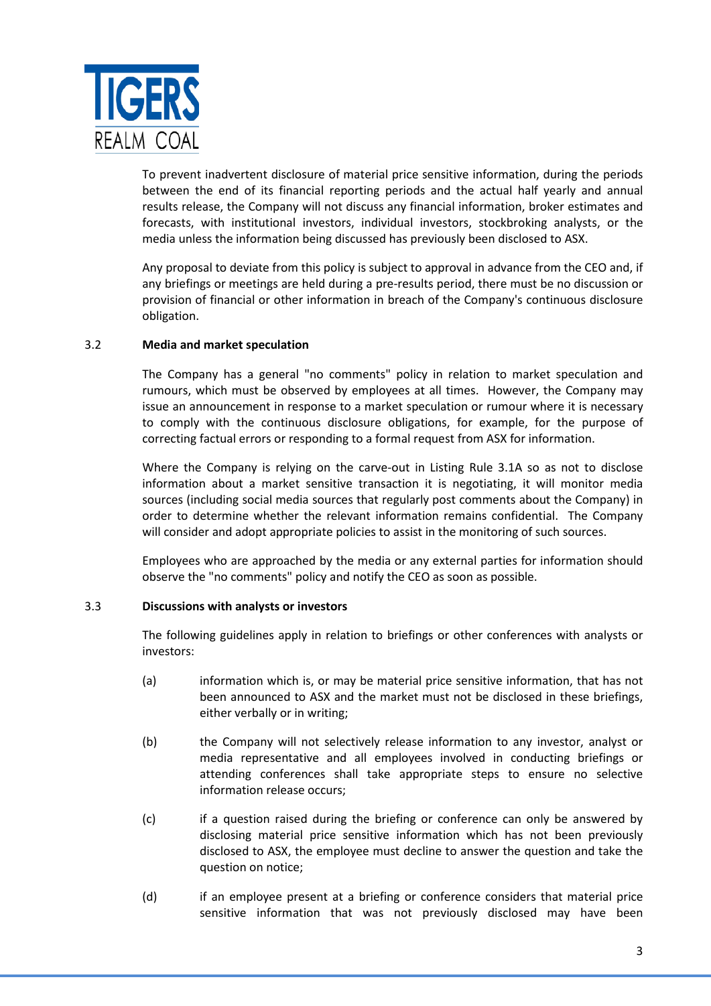

To prevent inadvertent disclosure of material price sensitive information, during the periods between the end of its financial reporting periods and the actual half yearly and annual results release, the Company will not discuss any financial information, broker estimates and forecasts, with institutional investors, individual investors, stockbroking analysts, or the media unless the information being discussed has previously been disclosed to ASX.

Any proposal to deviate from this policy is subject to approval in advance from the CEO and, if any briefings or meetings are held during a pre-results period, there must be no discussion or provision of financial or other information in breach of the Company's continuous disclosure obligation.

## 3.2 **Media and market speculation**

The Company has a general "no comments" policy in relation to market speculation and rumours, which must be observed by employees at all times. However, the Company may issue an announcement in response to a market speculation or rumour where it is necessary to comply with the continuous disclosure obligations, for example, for the purpose of correcting factual errors or responding to a formal request from ASX for information.

Where the Company is relying on the carve-out in Listing Rule 3.1A so as not to disclose information about a market sensitive transaction it is negotiating, it will monitor media sources (including social media sources that regularly post comments about the Company) in order to determine whether the relevant information remains confidential. The Company will consider and adopt appropriate policies to assist in the monitoring of such sources.

Employees who are approached by the media or any external parties for information should observe the "no comments" policy and notify the CEO as soon as possible.

# 3.3 **Discussions with analysts or investors**

The following guidelines apply in relation to briefings or other conferences with analysts or investors:

- (a) information which is, or may be material price sensitive information, that has not been announced to ASX and the market must not be disclosed in these briefings, either verbally or in writing;
- (b) the Company will not selectively release information to any investor, analyst or media representative and all employees involved in conducting briefings or attending conferences shall take appropriate steps to ensure no selective information release occurs;
- (c) if a question raised during the briefing or conference can only be answered by disclosing material price sensitive information which has not been previously disclosed to ASX, the employee must decline to answer the question and take the question on notice;
- (d) if an employee present at a briefing or conference considers that material price sensitive information that was not previously disclosed may have been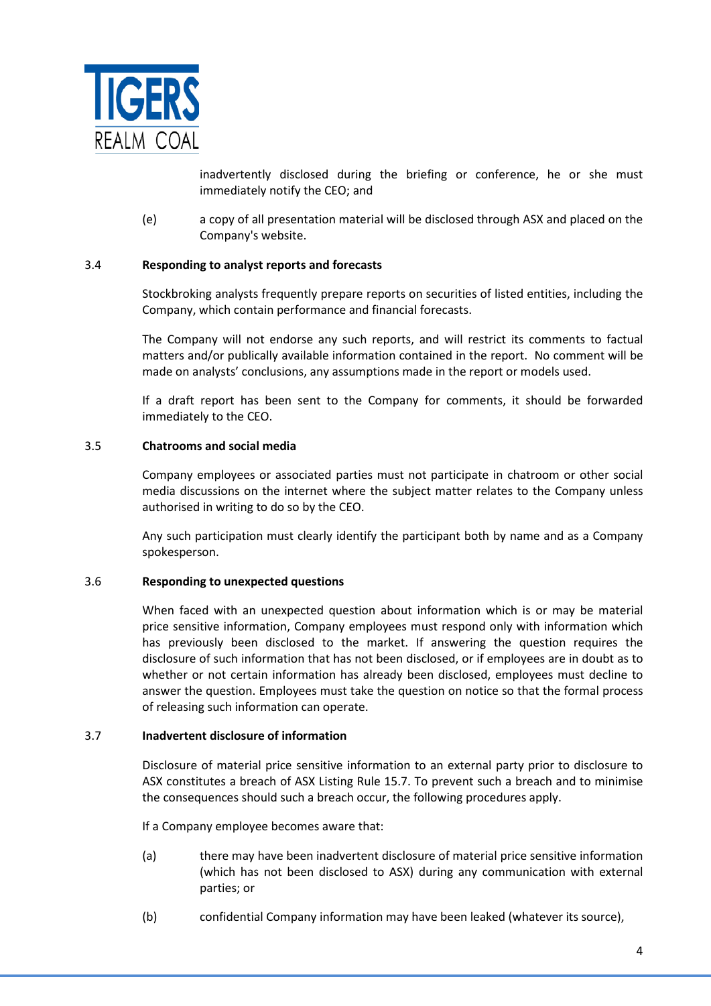

inadvertently disclosed during the briefing or conference, he or she must immediately notify the CEO; and

(e) a copy of all presentation material will be disclosed through ASX and placed on the Company's website.

## 3.4 **Responding to analyst reports and forecasts**

Stockbroking analysts frequently prepare reports on securities of listed entities, including the Company, which contain performance and financial forecasts.

The Company will not endorse any such reports, and will restrict its comments to factual matters and/or publically available information contained in the report. No comment will be made on analysts' conclusions, any assumptions made in the report or models used.

If a draft report has been sent to the Company for comments, it should be forwarded immediately to the CEO.

## 3.5 **Chatrooms and social media**

Company employees or associated parties must not participate in chatroom or other social media discussions on the internet where the subject matter relates to the Company unless authorised in writing to do so by the CEO.

Any such participation must clearly identify the participant both by name and as a Company spokesperson.

## 3.6 **Responding to unexpected questions**

When faced with an unexpected question about information which is or may be material price sensitive information, Company employees must respond only with information which has previously been disclosed to the market. If answering the question requires the disclosure of such information that has not been disclosed, or if employees are in doubt as to whether or not certain information has already been disclosed, employees must decline to answer the question. Employees must take the question on notice so that the formal process of releasing such information can operate.

## 3.7 **Inadvertent disclosure of information**

Disclosure of material price sensitive information to an external party prior to disclosure to ASX constitutes a breach of ASX Listing Rule 15.7. To prevent such a breach and to minimise the consequences should such a breach occur, the following procedures apply.

If a Company employee becomes aware that:

- (a) there may have been inadvertent disclosure of material price sensitive information (which has not been disclosed to ASX) during any communication with external parties; or
- (b) confidential Company information may have been leaked (whatever its source),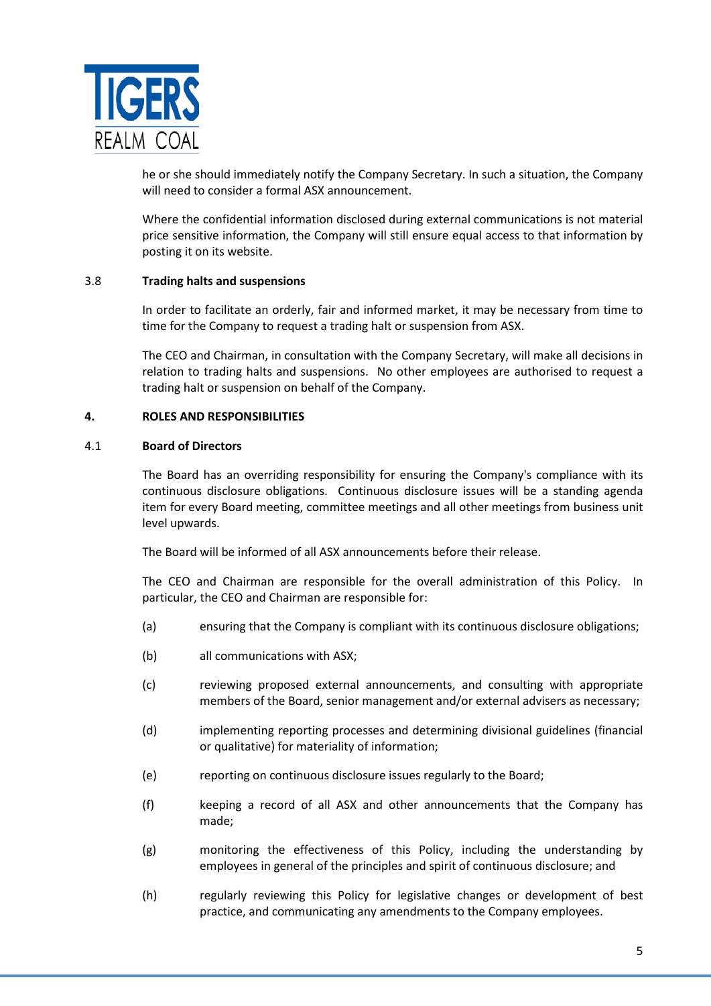

he or she should immediately notify the Company Secretary. In such a situation, the Company will need to consider a formal ASX announcement.

Where the confidential information disclosed during external communications is not material price sensitive information, the Company will still ensure equal access to that information by posting it on its website.

## 3.8 **Trading halts and suspensions**

In order to facilitate an orderly, fair and informed market, it may be necessary from time to time for the Company to request a trading halt or suspension from ASX.

The CEO and Chairman, in consultation with the Company Secretary, will make all decisions in relation to trading halts and suspensions. No other employees are authorised to request a trading halt or suspension on behalf of the Company.

## **4. ROLES AND RESPONSIBILITIES**

## 4.1 **Board of Directors**

The Board has an overriding responsibility for ensuring the Company's compliance with its continuous disclosure obligations. Continuous disclosure issues will be a standing agenda item for every Board meeting, committee meetings and all other meetings from business unit level upwards.

The Board will be informed of all ASX announcements before their release.

The CEO and Chairman are responsible for the overall administration of this Policy. In particular, the CEO and Chairman are responsible for:

- (a) ensuring that the Company is compliant with its continuous disclosure obligations;
- (b) all communications with ASX;
- (c) reviewing proposed external announcements, and consulting with appropriate members of the Board, senior management and/or external advisers as necessary;
- (d) implementing reporting processes and determining divisional guidelines (financial or qualitative) for materiality of information;
- (e) reporting on continuous disclosure issues regularly to the Board;
- (f) keeping a record of all ASX and other announcements that the Company has made;
- (g) monitoring the effectiveness of this Policy, including the understanding by employees in general of the principles and spirit of continuous disclosure; and
- (h) regularly reviewing this Policy for legislative changes or development of best practice, and communicating any amendments to the Company employees.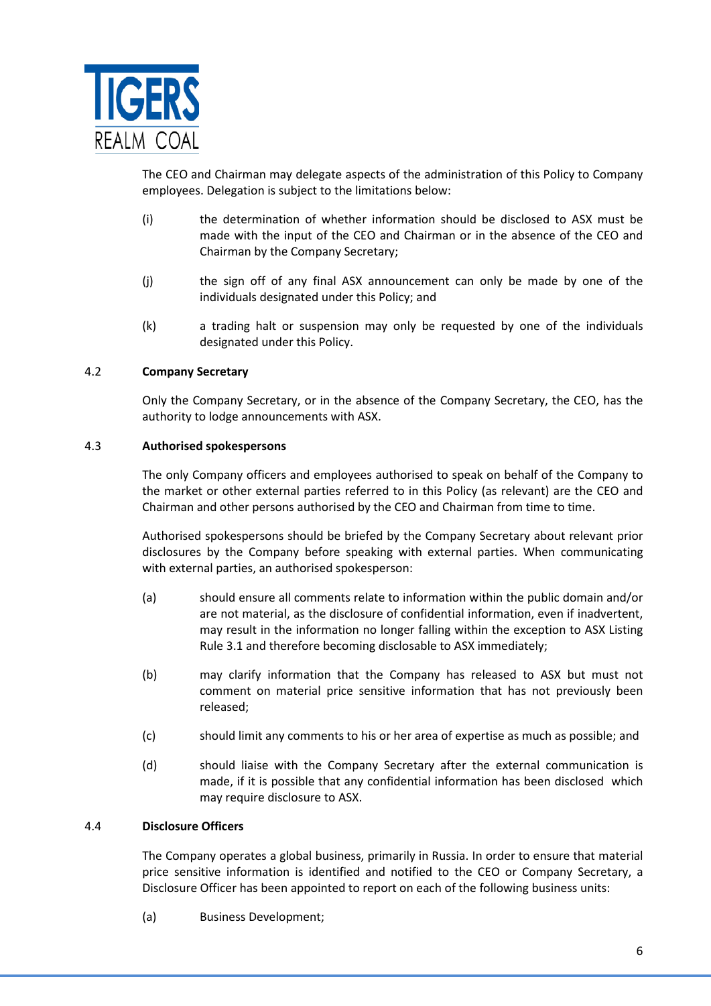

The CEO and Chairman may delegate aspects of the administration of this Policy to Company employees. Delegation is subject to the limitations below:

- (i) the determination of whether information should be disclosed to ASX must be made with the input of the CEO and Chairman or in the absence of the CEO and Chairman by the Company Secretary;
- (j) the sign off of any final ASX announcement can only be made by one of the individuals designated under this Policy; and
- (k) a trading halt or suspension may only be requested by one of the individuals designated under this Policy.

## 4.2 **Company Secretary**

Only the Company Secretary, or in the absence of the Company Secretary, the CEO, has the authority to lodge announcements with ASX.

## 4.3 **Authorised spokespersons**

The only Company officers and employees authorised to speak on behalf of the Company to the market or other external parties referred to in this Policy (as relevant) are the CEO and Chairman and other persons authorised by the CEO and Chairman from time to time.

Authorised spokespersons should be briefed by the Company Secretary about relevant prior disclosures by the Company before speaking with external parties. When communicating with external parties, an authorised spokesperson:

- (a) should ensure all comments relate to information within the public domain and/or are not material, as the disclosure of confidential information, even if inadvertent, may result in the information no longer falling within the exception to ASX Listing Rule 3.1 and therefore becoming disclosable to ASX immediately;
- (b) may clarify information that the Company has released to ASX but must not comment on material price sensitive information that has not previously been released;
- (c) should limit any comments to his or her area of expertise as much as possible; and
- (d) should liaise with the Company Secretary after the external communication is made, if it is possible that any confidential information has been disclosed which may require disclosure to ASX.

## 4.4 **Disclosure Officers**

The Company operates a global business, primarily in Russia. In order to ensure that material price sensitive information is identified and notified to the CEO or Company Secretary, a Disclosure Officer has been appointed to report on each of the following business units:

(a) Business Development;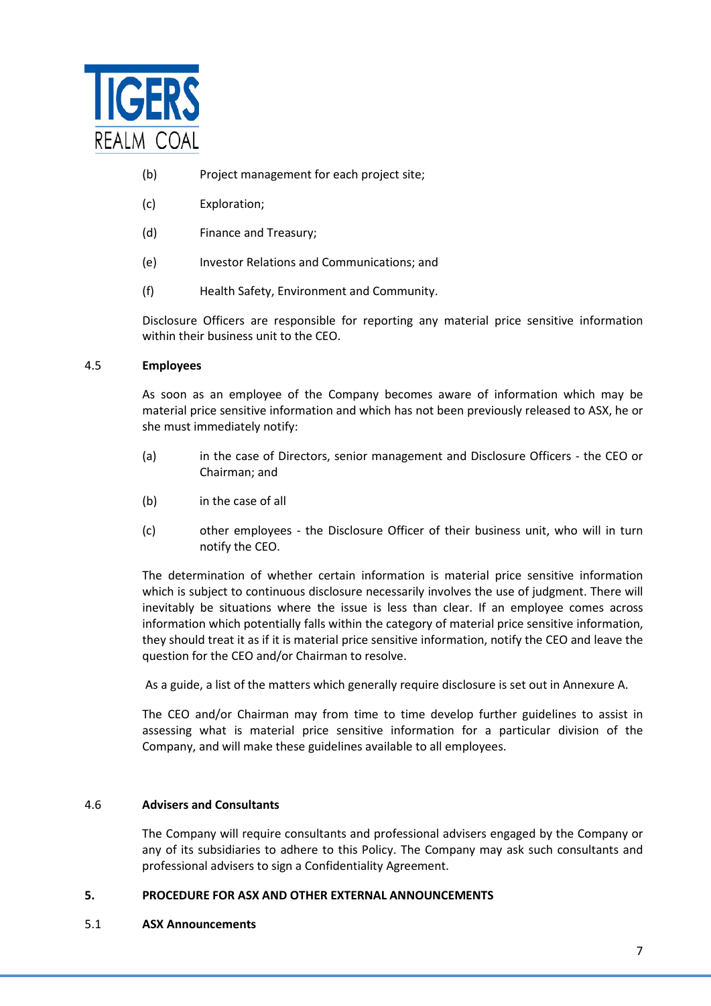

- (b) Project management for each project site;
- (c) Exploration;
- (d) Finance and Treasury;
- (e) Investor Relations and Communications; and
- (f) Health Safety, Environment and Community.

Disclosure Officers are responsible for reporting any material price sensitive information within their business unit to the CEO.

## 4.5 **Employees**

As soon as an employee of the Company becomes aware of information which may be material price sensitive information and which has not been previously released to ASX, he or she must immediately notify:

- (a) in the case of Directors, senior management and Disclosure Officers the CEO or Chairman; and
- (b) in the case of all
- (c) other employees the Disclosure Officer of their business unit, who will in turn notify the CEO.

The determination of whether certain information is material price sensitive information which is subject to continuous disclosure necessarily involves the use of judgment. There will inevitably be situations where the issue is less than clear. If an employee comes across information which potentially falls within the category of material price sensitive information, they should treat it as if it is material price sensitive information, notify the CEO and leave the question for the CEO and/or Chairman to resolve.

As a guide, a list of the matters which generally require disclosure is set out in Annexure A.

The CEO and/or Chairman may from time to time develop further guidelines to assist in assessing what is material price sensitive information for a particular division of the Company, and will make these guidelines available to all employees.

## 4.6 **Advisers and Consultants**

The Company will require consultants and professional advisers engaged by the Company or any of its subsidiaries to adhere to this Policy. The Company may ask such consultants and professional advisers to sign a Confidentiality Agreement.

## **5. PROCEDURE FOR ASX AND OTHER EXTERNAL ANNOUNCEMENTS**

5.1 **ASX Announcements**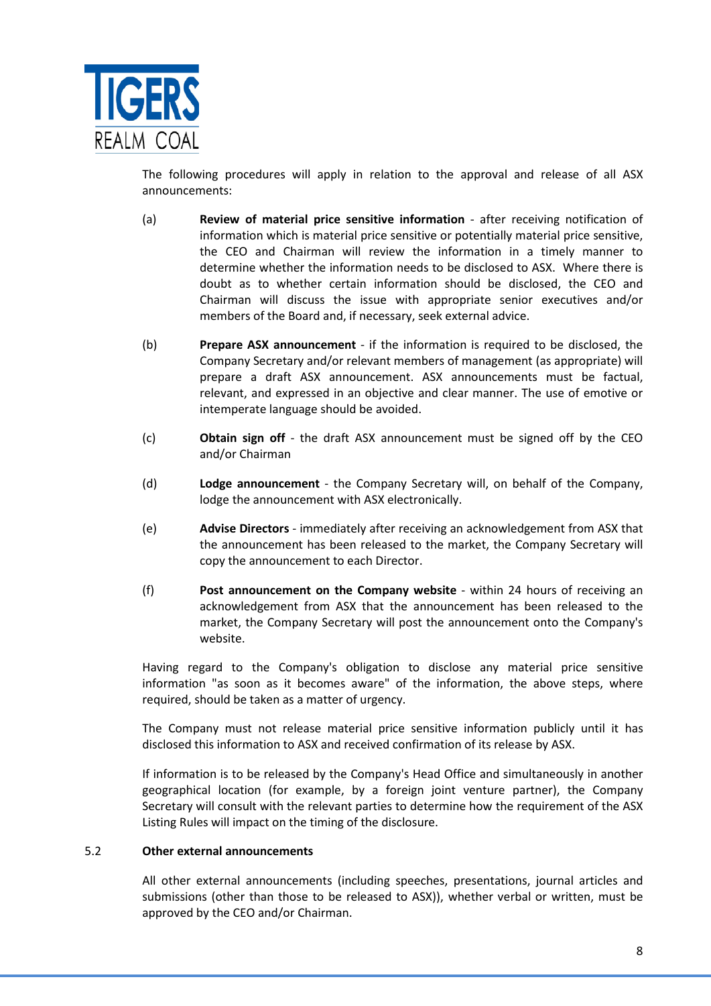

The following procedures will apply in relation to the approval and release of all ASX announcements:

- (a) **Review of material price sensitive information** after receiving notification of information which is material price sensitive or potentially material price sensitive, the CEO and Chairman will review the information in a timely manner to determine whether the information needs to be disclosed to ASX. Where there is doubt as to whether certain information should be disclosed, the CEO and Chairman will discuss the issue with appropriate senior executives and/or members of the Board and, if necessary, seek external advice.
- (b) **Prepare ASX announcement** if the information is required to be disclosed, the Company Secretary and/or relevant members of management (as appropriate) will prepare a draft ASX announcement. ASX announcements must be factual, relevant, and expressed in an objective and clear manner. The use of emotive or intemperate language should be avoided.
- (c) **Obtain sign off** the draft ASX announcement must be signed off by the CEO and/or Chairman
- (d) **Lodge announcement** the Company Secretary will, on behalf of the Company, lodge the announcement with ASX electronically.
- (e) **Advise Directors** immediately after receiving an acknowledgement from ASX that the announcement has been released to the market, the Company Secretary will copy the announcement to each Director.
- (f) **Post announcement on the Company website** within 24 hours of receiving an acknowledgement from ASX that the announcement has been released to the market, the Company Secretary will post the announcement onto the Company's website.

Having regard to the Company's obligation to disclose any material price sensitive information "as soon as it becomes aware" of the information, the above steps, where required, should be taken as a matter of urgency.

The Company must not release material price sensitive information publicly until it has disclosed this information to ASX and received confirmation of its release by ASX.

If information is to be released by the Company's Head Office and simultaneously in another geographical location (for example, by a foreign joint venture partner), the Company Secretary will consult with the relevant parties to determine how the requirement of the ASX Listing Rules will impact on the timing of the disclosure.

## 5.2 **Other external announcements**

All other external announcements (including speeches, presentations, journal articles and submissions (other than those to be released to ASX)), whether verbal or written, must be approved by the CEO and/or Chairman.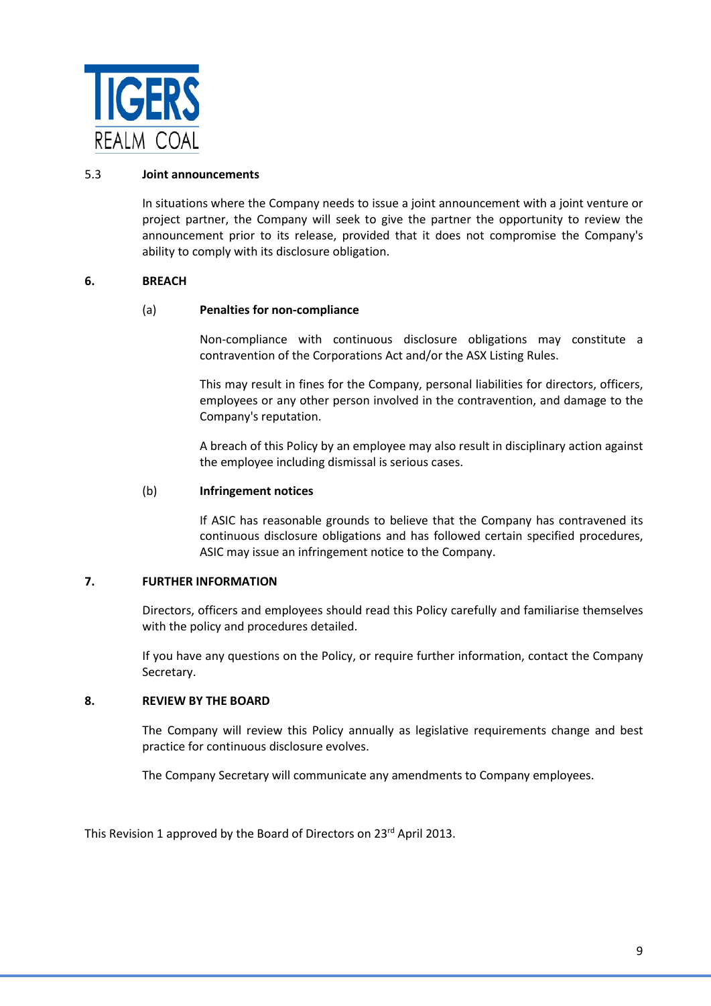

#### 5.3 **Joint announcements**

In situations where the Company needs to issue a joint announcement with a joint venture or project partner, the Company will seek to give the partner the opportunity to review the announcement prior to its release, provided that it does not compromise the Company's ability to comply with its disclosure obligation.

## **6. BREACH**

## (a) **Penalties for non-compliance**

Non-compliance with continuous disclosure obligations may constitute a contravention of the Corporations Act and/or the ASX Listing Rules.

This may result in fines for the Company, personal liabilities for directors, officers, employees or any other person involved in the contravention, and damage to the Company's reputation.

A breach of this Policy by an employee may also result in disciplinary action against the employee including dismissal is serious cases.

#### (b) **Infringement notices**

If ASIC has reasonable grounds to believe that the Company has contravened its continuous disclosure obligations and has followed certain specified procedures, ASIC may issue an infringement notice to the Company.

#### **7. FURTHER INFORMATION**

Directors, officers and employees should read this Policy carefully and familiarise themselves with the policy and procedures detailed.

If you have any questions on the Policy, or require further information, contact the Company Secretary.

## **8. REVIEW BY THE BOARD**

The Company will review this Policy annually as legislative requirements change and best practice for continuous disclosure evolves.

The Company Secretary will communicate any amendments to Company employees.

This Revision 1 approved by the Board of Directors on 23<sup>rd</sup> April 2013.